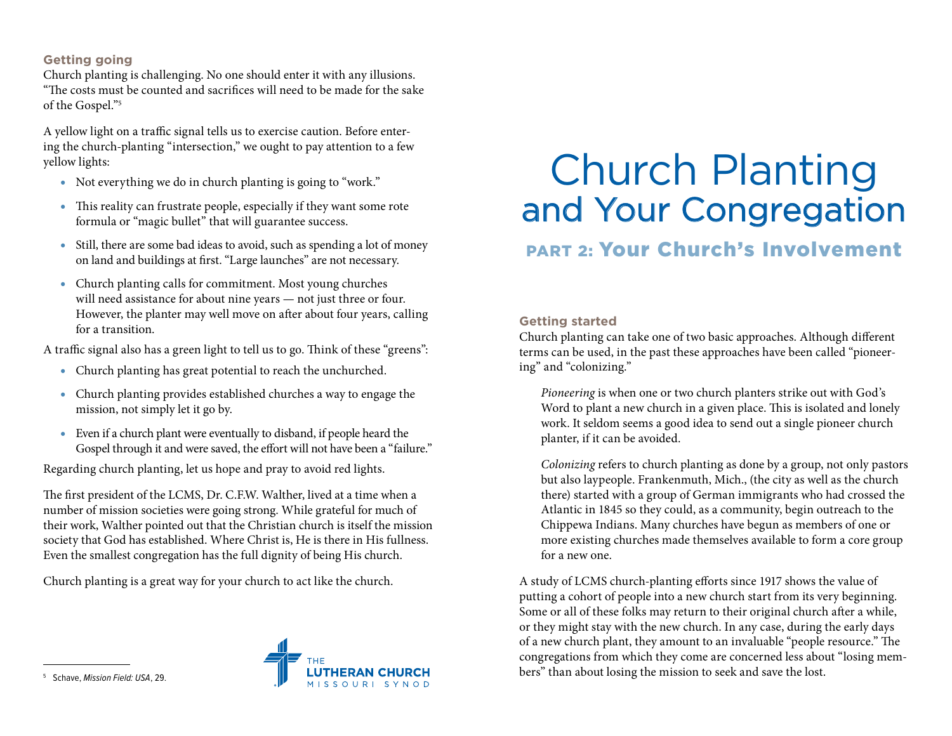## **Getting going**

Church planting is challenging. No one should enter it with any illusions. "The costs must be counted and sacrifices will need to be made for the sake of the Gospel."5

A yellow light on a traffic signal tells us to exercise caution. Before entering the church-planting "intersection," we ought to pay attention to a few yellow lights:

- Not everything we do in church planting is going to "work."
- This reality can frustrate people, especially if they want some rote formula or "magic bullet" that will guarantee success.
- Still, there are some bad ideas to avoid, such as spending a lot of money on land and buildings at first. "Large launches" are not necessary.
- Church planting calls for commitment. Most young churches will need assistance for about nine years — not just three or four. However, the planter may well move on after about four years, calling for a transition.

A traffic signal also has a green light to tell us to go. Think of these "greens":

- Church planting has great potential to reach the unchurched.
- Church planting provides established churches a way to engage the mission, not simply let it go by.
- Even if a church plant were eventually to disband, if people heard the Gospel through it and were saved, the effort will not have been a "failure."

Regarding church planting, let us hope and pray to avoid red lights.

The first president of the LCMS, Dr. C.F.W. Walther, lived at a time when a number of mission societies were going strong. While grateful for much of their work, Walther pointed out that the Christian church is itself the mission society that God has established. Where Christ is, He is there in His fullness. Even the smallest congregation has the full dignity of being His church.

Church planting is a great way for your church to act like the church.



# Church Planting and Your Congregation

# PART 2: Your Church's Involvement

### **Getting started**

Church planting can take one of two basic approaches. Although different terms can be used, in the past these approaches have been called "pioneering" and "colonizing."

*Pioneering* is when one or two church planters strike out with God's Word to plant a new church in a given place. This is isolated and lonely work. It seldom seems a good idea to send out a single pioneer church planter, if it can be avoided.

*Colonizing* refers to church planting as done by a group, not only pastors but also laypeople. Frankenmuth, Mich., (the city as well as the church there) started with a group of German immigrants who had crossed the Atlantic in 1845 so they could, as a community, begin outreach to the Chippewa Indians. Many churches have begun as members of one or more existing churches made themselves available to form a core group for a new one.

A study of LCMS church-planting efforts since 1917 shows the value of putting a cohort of people into a new church start from its very beginning. Some or all of these folks may return to their original church after a while, or they might stay with the new church. In any case, during the early days of a new church plant, they amount to an invaluable "people resource." The congregations from which they come are concerned less about "losing members" than about losing the mission to seek and save the lost.

5 Schave, *Mission Field: USA*, 29.